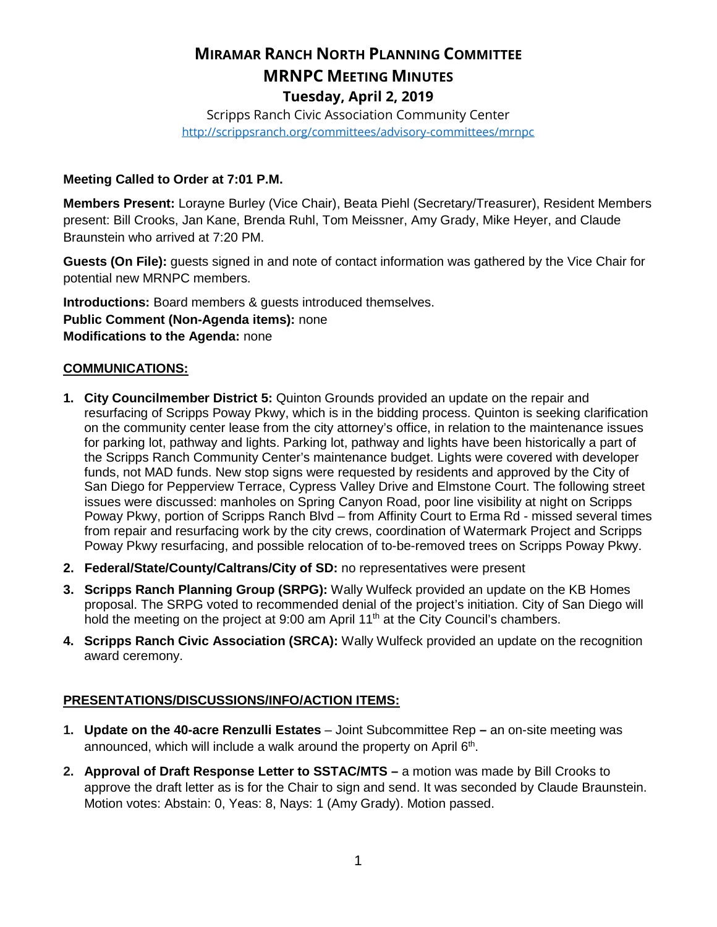# **MIRAMAR RANCH NORTH PLANNING COMMITTEE MRNPC MEETING MINUTES Tuesday, April 2, 2019**

Scripps Ranch Civic Association Community Center <http://scrippsranch.org/committees/advisory-committees/mrnpc>

### **Meeting Called to Order at 7:01 P.M.**

**Members Present:** Lorayne Burley (Vice Chair), Beata Piehl (Secretary/Treasurer), Resident Members present: Bill Crooks, Jan Kane, Brenda Ruhl, Tom Meissner, Amy Grady, Mike Heyer, and Claude Braunstein who arrived at 7:20 PM.

**Guests (On File):** guests signed in and note of contact information was gathered by the Vice Chair for potential new MRNPC members.

**Introductions:** Board members & guests introduced themselves. **Public Comment (Non-Agenda items):** none **Modifications to the Agenda:** none

#### **COMMUNICATIONS:**

- **1. City Councilmember District 5:** Quinton Grounds provided an update on the repair and resurfacing of Scripps Poway Pkwy, which is in the bidding process. Quinton is seeking clarification on the community center lease from the city attorney's office, in relation to the maintenance issues for parking lot, pathway and lights. Parking lot, pathway and lights have been historically a part of the Scripps Ranch Community Center's maintenance budget. Lights were covered with developer funds, not MAD funds. New stop signs were requested by residents and approved by the City of San Diego for Pepperview Terrace, Cypress Valley Drive and Elmstone Court. The following street issues were discussed: manholes on Spring Canyon Road, poor line visibility at night on Scripps Poway Pkwy, portion of Scripps Ranch Blvd – from Affinity Court to Erma Rd - missed several times from repair and resurfacing work by the city crews, coordination of Watermark Project and Scripps Poway Pkwy resurfacing, and possible relocation of to-be-removed trees on Scripps Poway Pkwy.
- **2. Federal/State/County/Caltrans/City of SD:** no representatives were present
- **3. Scripps Ranch Planning Group (SRPG):** Wally Wulfeck provided an update on the KB Homes proposal. The SRPG voted to recommended denial of the project's initiation. City of San Diego will hold the meeting on the project at 9:00 am April 11<sup>th</sup> at the City Council's chambers.
- **4. Scripps Ranch Civic Association (SRCA):** Wally Wulfeck provided an update on the recognition award ceremony.

## **PRESENTATIONS/DISCUSSIONS/INFO/ACTION ITEMS:**

- **1. Update on the 40-acre Renzulli Estates** Joint Subcommittee Rep **–** an on-site meeting was announced, which will include a walk around the property on April 6<sup>th</sup>.
- **2. Approval of Draft Response Letter to SSTAC/MTS –** a motion was made by Bill Crooks to approve the draft letter as is for the Chair to sign and send. It was seconded by Claude Braunstein. Motion votes: Abstain: 0, Yeas: 8, Nays: 1 (Amy Grady). Motion passed.